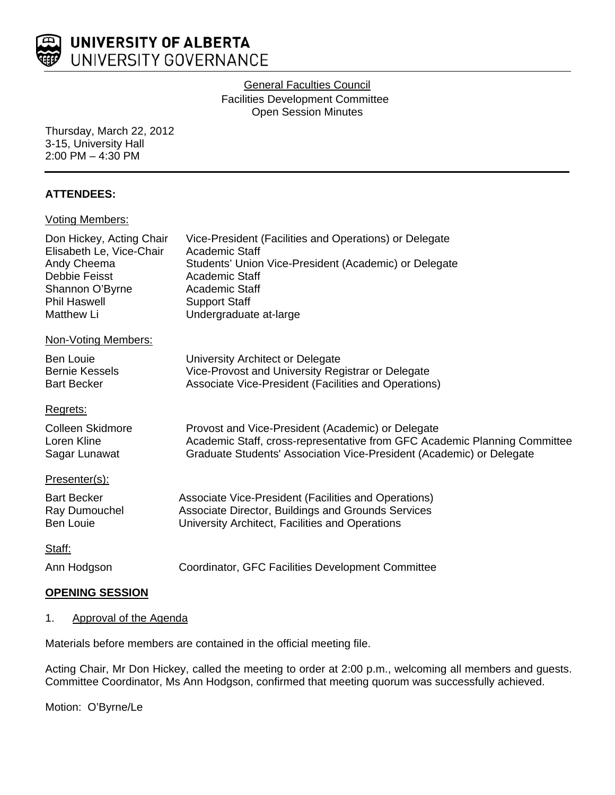

## General Faculties Council Facilities Development Committee Open Session Minutes

Thursday, March 22, 2012 3-15, University Hall 2:00 PM – 4:30 PM

#### **ATTENDEES:**

#### Voting Members:

| Vice-President (Facilities and Operations) or Delegate<br>Academic Staff<br>Students' Union Vice-President (Academic) or Delegate<br>Academic Staff<br>Academic Staff<br><b>Support Staff</b><br>Undergraduate at-large |
|-------------------------------------------------------------------------------------------------------------------------------------------------------------------------------------------------------------------------|
|                                                                                                                                                                                                                         |
| University Architect or Delegate<br>Vice-Provost and University Registrar or Delegate<br>Associate Vice-President (Facilities and Operations)                                                                           |
|                                                                                                                                                                                                                         |
| Provost and Vice-President (Academic) or Delegate<br>Academic Staff, cross-representative from GFC Academic Planning Committee<br>Graduate Students' Association Vice-President (Academic) or Delegate                  |
|                                                                                                                                                                                                                         |
| Associate Vice-President (Facilities and Operations)<br>Associate Director, Buildings and Grounds Services<br>University Architect, Facilities and Operations                                                           |
|                                                                                                                                                                                                                         |
| Coordinator, GFC Facilities Development Committee                                                                                                                                                                       |
|                                                                                                                                                                                                                         |

## **OPENING SESSION**

#### 1. Approval of the Agenda

Materials before members are contained in the official meeting file.

Acting Chair, Mr Don Hickey, called the meeting to order at 2:00 p.m., welcoming all members and guests. Committee Coordinator, Ms Ann Hodgson, confirmed that meeting quorum was successfully achieved.

Motion: O'Byrne/Le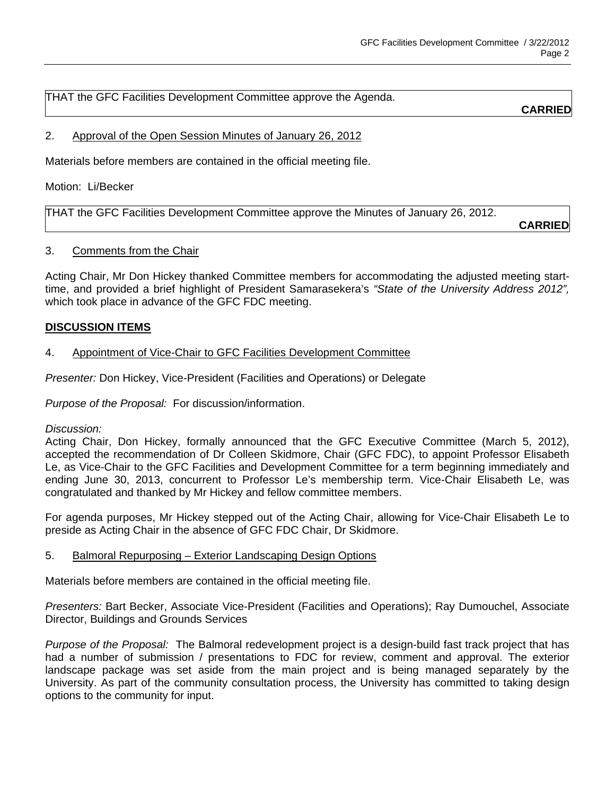THAT the GFC Facilities Development Committee approve the Agenda.

**CARRIED**

# 2. Approval of the Open Session Minutes of January 26, 2012

Materials before members are contained in the official meeting file.

Motion: Li/Becker

THAT the GFC Facilities Development Committee approve the Minutes of January 26, 2012.

**CARRIED**

## 3. Comments from the Chair

Acting Chair, Mr Don Hickey thanked Committee members for accommodating the adjusted meeting starttime, and provided a brief highlight of President Samarasekera's *"State of the University Address 2012",* which took place in advance of the GFC FDC meeting.

## **DISCUSSION ITEMS**

# 4. Appointment of Vice-Chair to GFC Facilities Development Committee

*Presenter:* Don Hickey, Vice-President (Facilities and Operations) or Delegate

*Purpose of the Proposal:* For discussion/information.

*Discussion:* 

Acting Chair, Don Hickey, formally announced that the GFC Executive Committee (March 5, 2012), accepted the recommendation of Dr Colleen Skidmore, Chair (GFC FDC), to appoint Professor Elisabeth Le, as Vice-Chair to the GFC Facilities and Development Committee for a term beginning immediately and ending June 30, 2013, concurrent to Professor Le's membership term. Vice-Chair Elisabeth Le, was congratulated and thanked by Mr Hickey and fellow committee members.

For agenda purposes, Mr Hickey stepped out of the Acting Chair, allowing for Vice-Chair Elisabeth Le to preside as Acting Chair in the absence of GFC FDC Chair, Dr Skidmore.

#### 5. Balmoral Repurposing – Exterior Landscaping Design Options

Materials before members are contained in the official meeting file.

*Presenters:* Bart Becker, Associate Vice-President (Facilities and Operations); Ray Dumouchel, Associate Director, Buildings and Grounds Services

*Purpose of the Proposal:* The Balmoral redevelopment project is a design-build fast track project that has had a number of submission / presentations to FDC for review, comment and approval. The exterior landscape package was set aside from the main project and is being managed separately by the University. As part of the community consultation process, the University has committed to taking design options to the community for input.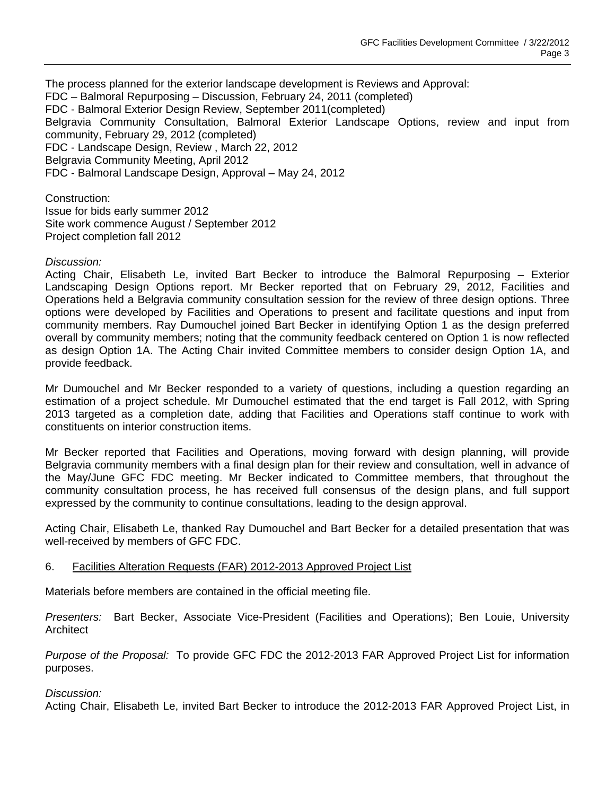The process planned for the exterior landscape development is Reviews and Approval: FDC – Balmoral Repurposing – Discussion, February 24, 2011 (completed) FDC - Balmoral Exterior Design Review, September 2011(completed) Belgravia Community Consultation, Balmoral Exterior Landscape Options, review and input from community, February 29, 2012 (completed) FDC - Landscape Design, Review , March 22, 2012 Belgravia Community Meeting, April 2012 FDC - Balmoral Landscape Design, Approval – May 24, 2012

Construction: Issue for bids early summer 2012 Site work commence August / September 2012 Project completion fall 2012

#### *Discussion:*

Acting Chair, Elisabeth Le, invited Bart Becker to introduce the Balmoral Repurposing – Exterior Landscaping Design Options report. Mr Becker reported that on February 29, 2012, Facilities and Operations held a Belgravia community consultation session for the review of three design options. Three options were developed by Facilities and Operations to present and facilitate questions and input from community members. Ray Dumouchel joined Bart Becker in identifying Option 1 as the design preferred overall by community members; noting that the community feedback centered on Option 1 is now reflected as design Option 1A. The Acting Chair invited Committee members to consider design Option 1A, and provide feedback.

Mr Dumouchel and Mr Becker responded to a variety of questions, including a question regarding an estimation of a project schedule. Mr Dumouchel estimated that the end target is Fall 2012, with Spring 2013 targeted as a completion date, adding that Facilities and Operations staff continue to work with constituents on interior construction items.

Mr Becker reported that Facilities and Operations, moving forward with design planning, will provide Belgravia community members with a final design plan for their review and consultation, well in advance of the May/June GFC FDC meeting. Mr Becker indicated to Committee members, that throughout the community consultation process, he has received full consensus of the design plans, and full support expressed by the community to continue consultations, leading to the design approval.

Acting Chair, Elisabeth Le, thanked Ray Dumouchel and Bart Becker for a detailed presentation that was well-received by members of GFC FDC.

## 6. Facilities Alteration Requests (FAR) 2012-2013 Approved Project List

Materials before members are contained in the official meeting file.

*Presenters:* Bart Becker, Associate Vice-President (Facilities and Operations); Ben Louie, University **Architect** 

*Purpose of the Proposal:* To provide GFC FDC the 2012-2013 FAR Approved Project List for information purposes.

#### *Discussion:*

Acting Chair, Elisabeth Le, invited Bart Becker to introduce the 2012-2013 FAR Approved Project List, in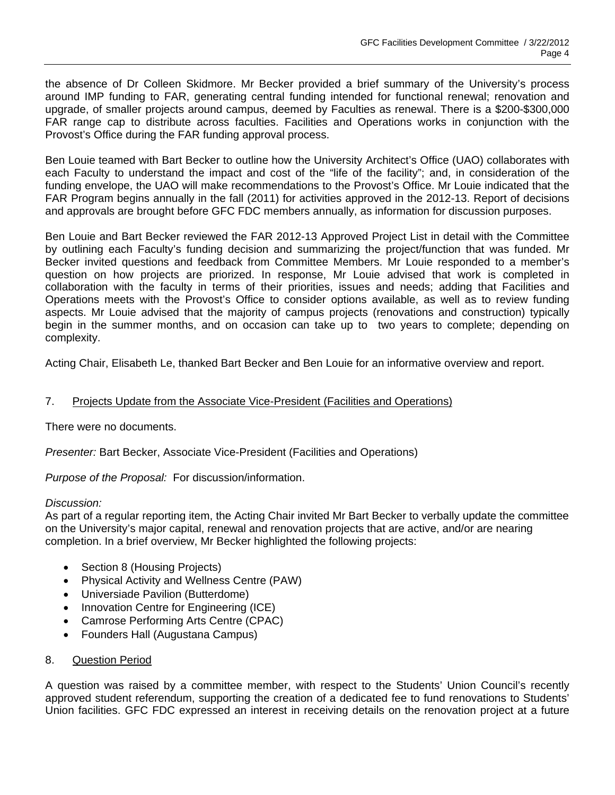the absence of Dr Colleen Skidmore. Mr Becker provided a brief summary of the University's process around IMP funding to FAR, generating central funding intended for functional renewal; renovation and upgrade, of smaller projects around campus, deemed by Faculties as renewal. There is a \$200-\$300,000 FAR range cap to distribute across faculties. Facilities and Operations works in conjunction with the Provost's Office during the FAR funding approval process.

Ben Louie teamed with Bart Becker to outline how the University Architect's Office (UAO) collaborates with each Faculty to understand the impact and cost of the "life of the facility"; and, in consideration of the funding envelope, the UAO will make recommendations to the Provost's Office. Mr Louie indicated that the FAR Program begins annually in the fall (2011) for activities approved in the 2012-13. Report of decisions and approvals are brought before GFC FDC members annually, as information for discussion purposes.

Ben Louie and Bart Becker reviewed the FAR 2012-13 Approved Project List in detail with the Committee by outlining each Faculty's funding decision and summarizing the project/function that was funded. Mr Becker invited questions and feedback from Committee Members. Mr Louie responded to a member's question on how projects are priorized. In response, Mr Louie advised that work is completed in collaboration with the faculty in terms of their priorities, issues and needs; adding that Facilities and Operations meets with the Provost's Office to consider options available, as well as to review funding aspects. Mr Louie advised that the majority of campus projects (renovations and construction) typically begin in the summer months, and on occasion can take up to two years to complete; depending on complexity.

Acting Chair, Elisabeth Le, thanked Bart Becker and Ben Louie for an informative overview and report.

## 7. Projects Update from the Associate Vice-President (Facilities and Operations)

There were no documents.

*Presenter:* Bart Becker, Associate Vice-President (Facilities and Operations)

*Purpose of the Proposal:* For discussion/information.

## *Discussion:*

As part of a regular reporting item, the Acting Chair invited Mr Bart Becker to verbally update the committee on the University's major capital, renewal and renovation projects that are active, and/or are nearing completion. In a brief overview, Mr Becker highlighted the following projects:

- Section 8 (Housing Projects)
- Physical Activity and Wellness Centre (PAW)
- Universiade Pavilion (Butterdome)
- Innovation Centre for Engineering (ICE)
- Camrose Performing Arts Centre (CPAC)
- Founders Hall (Augustana Campus)

## 8. Question Period

A question was raised by a committee member, with respect to the Students' Union Council's recently approved student referendum, supporting the creation of a dedicated fee to fund renovations to Students' Union facilities. GFC FDC expressed an interest in receiving details on the renovation project at a future